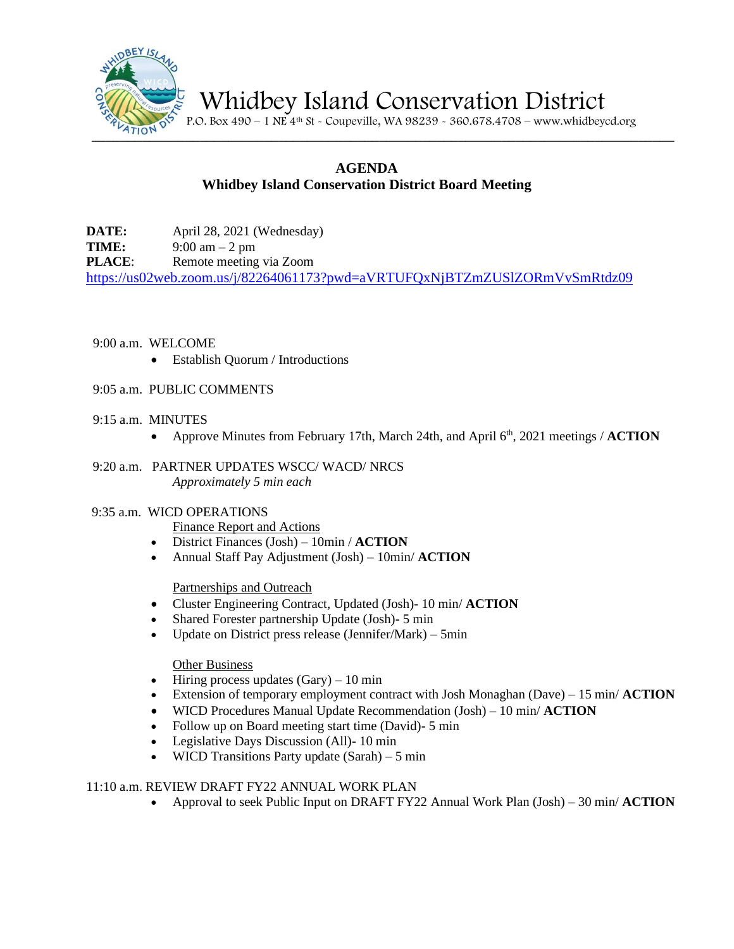

Whidbey Island Conservation District

P.O. Box 490 – 1 NE 4<sup>th</sup> St - Coupeville, WA 98239 - 360.678.4708 – www.whidbeycd.org

# **AGENDA Whidbey Island Conservation District Board Meeting**

**DATE:** April 28, 2021 (Wednesday) **TIME:**  $9:00 \text{ am} - 2 \text{ pm}$ **PLACE:** Remote meeting via Zoom <https://us02web.zoom.us/j/82264061173?pwd=aVRTUFQxNjBTZmZUSlZORmVvSmRtdz09>

- 9:00 a.m. WELCOME
	- Establish Quorum / Introductions
- 9:05 a.m. PUBLIC COMMENTS
- 9:15 a.m. MINUTES
	- Approve Minutes from February 17th, March 24th, and April 6<sup>th</sup>, 2021 meetings / **ACTION**
- 9:20 a.m. PARTNER UPDATES WSCC/ WACD/ NRCS *Approximately 5 min each*

#### 9:35 a.m. WICD OPERATIONS

- Finance Report and Actions
- District Finances (Josh) 10min / **ACTION**
- Annual Staff Pay Adjustment (Josh) 10min/ **ACTION**

#### Partnerships and Outreach

- Cluster Engineering Contract, Updated (Josh)- 10 min/ **ACTION**
- Shared Forester partnership Update (Josh)- 5 min
- Update on District press release (Jennifer/Mark) 5min

#### Other Business

- Hiring process updates  $(Gary) 10$  min
- Extension of temporary employment contract with Josh Monaghan (Dave) 15 min/ **ACTION**
- WICD Procedures Manual Update Recommendation (Josh) 10 min/ **ACTION**
- Follow up on Board meeting start time (David) 5 min
- Legislative Days Discussion (All)- 10 min
- WICD Transitions Party update  $(Sarah) 5 min$

## 11:10 a.m. REVIEW DRAFT FY22 ANNUAL WORK PLAN

• Approval to seek Public Input on DRAFT FY22 Annual Work Plan (Josh) – 30 min/ **ACTION**